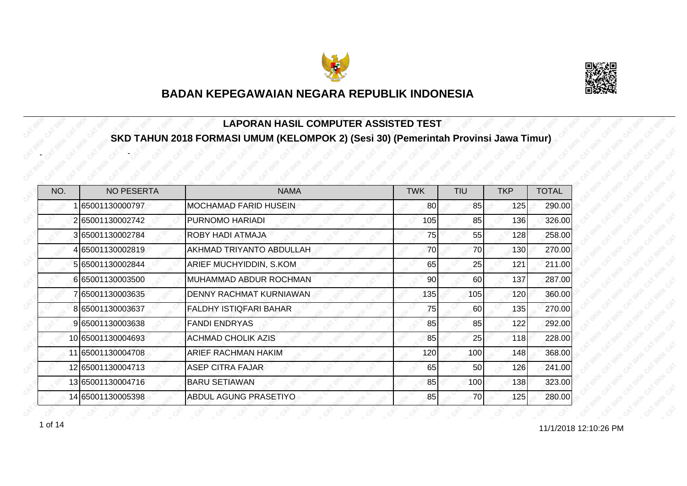



#### **LAPORAN HASIL COMPUTER ASSISTED TEST SKD TAHUN 2018 FORMASI UMUM (KELOMPOK 2) (Sesi 30) (Pemerintah Provinsi Jawa Timur)**

| NO. | <b>NO PESERTA</b> | <b>NAMA</b>                   | <b>TWK</b> | <b>TIU</b> | <b>TKP</b> | <b>TOTAL</b> |
|-----|-------------------|-------------------------------|------------|------------|------------|--------------|
|     | 65001130000797    | <b>MOCHAMAD FARID HUSEIN</b>  | 80         | 85         | 125        | 290.00       |
|     | 265001130002742   | PURNOMO HARIADI               | 105        | 85         | 136        | 326.00       |
|     | 365001130002784   | <b>ROBY HADI ATMAJA</b>       | 75         | 55         | 128        | 258.00       |
|     | 4 65001130002819  | AKHMAD TRIYANTO ABDULLAH      | 70         | 70         | 130        | 270.00       |
|     | 5 65001130002844  | ARIEF MUCHYIDDIN, S.KOM       | 65         | 25         | 121        | 211.00       |
|     | 665001130003500   | MUHAMMAD ABDUR ROCHMAN        | 90         | 60         | 137        | 287.00       |
|     | 765001130003635   | DENNY RACHMAT KURNIAWAN       | 135        | 105        | 120        | 360.00       |
|     | 8 65001130003637  | <b>FALDHY ISTIQFARI BAHAR</b> | 75         | 60         | 135        | 270.00       |
|     | 9 65001130003638  | <b>FANDI ENDRYAS</b>          | 85         | 85         | 122        | 292.00       |
|     | 10 65001130004693 | <b>ACHMAD CHOLIK AZIS</b>     | 85         | 25         | 118        | 228.00       |
|     | 11 65001130004708 | <b>ARIEF RACHMAN HAKIM</b>    | 120        | 100        | 148        | 368.00       |
|     | 12 65001130004713 | <b>ASEP CITRA FAJAR</b>       | 65         | 50         | 126        | 241.00       |
|     | 13 65001130004716 | <b>BARU SETIAWAN</b>          | 85         | 100        | 138        | 323.00       |
|     | 14 65001130005398 | ABDUL AGUNG PRASETIYO         | 85         | 70         | 125        | 280.00       |

1 of 14 and 12:10:26 PM

-

-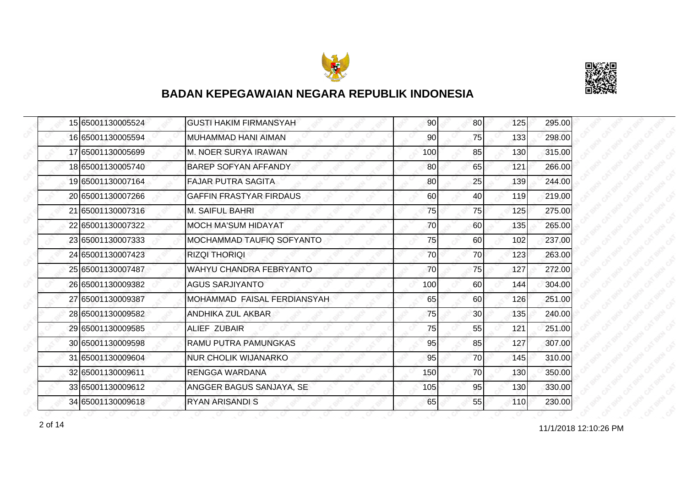



|  | 15 65001130005524 | <b>GUSTI HAKIM FIRMANSYAH</b>  | 90  | 80 <sup>1</sup> | 125 | 295.00 |
|--|-------------------|--------------------------------|-----|-----------------|-----|--------|
|  | 16 65001130005594 | <b>MUHAMMAD HANI AIMAN</b>     | 90  | 75              | 133 | 298.00 |
|  | 17 65001130005699 | M. NOER SURYA IRAWAN           | 100 | 85              | 130 | 315.00 |
|  | 18 65001130005740 | <b>BAREP SOFYAN AFFANDY</b>    | 80  | 65              | 121 | 266.00 |
|  | 19 65001130007164 | <b>FAJAR PUTRA SAGITA</b>      | 80  | 25              | 139 | 244.00 |
|  | 20 65001130007266 | <b>GAFFIN FRASTYAR FIRDAUS</b> | 60  | 40              | 119 | 219.00 |
|  | 21 65001130007316 | <b>M. SAIFUL BAHRI</b>         | 75  | 75              | 125 | 275.00 |
|  | 22 65001130007322 | <b>MOCH MA'SUM HIDAYAT</b>     | 70  | 60              | 135 | 265.00 |
|  | 23 65001130007333 | MOCHAMMAD TAUFIQ SOFYANTO      | 75  | 60              | 102 | 237.00 |
|  | 24 65001130007423 | <b>RIZQI THORIQI</b>           | 70  | 70              | 123 | 263.00 |
|  | 25 65001130007487 | WAHYU CHANDRA FEBRYANTO        | 70  | 75              | 127 | 272.00 |
|  | 26 65001130009382 | <b>AGUS SARJIYANTO</b>         | 100 | 60              | 144 | 304.00 |
|  | 27 65001130009387 | MOHAMMAD FAISAL FERDIANSYAH    | 65  | 60              | 126 | 251.00 |
|  | 28 65001130009582 | ANDHIKA ZUL AKBAR              | 75  | 30 <sup>1</sup> | 135 | 240.00 |
|  | 29 65001130009585 | ALIEF ZUBAIR                   | 75  | 55              | 121 | 251.00 |
|  | 30 65001130009598 | RAMU PUTRA PAMUNGKAS           | 95  | 85              | 127 | 307.00 |
|  | 31 65001130009604 | <b>NUR CHOLIK WIJANARKO</b>    | 95  | 70              | 145 | 310.00 |
|  | 32 65001130009611 | <b>RENGGA WARDANA</b>          | 150 | 70              | 130 | 350.00 |
|  | 33 65001130009612 | ANGGER BAGUS SANJAYA, SE       | 105 | 95              | 130 | 330.00 |
|  | 34 65001130009618 | <b>RYAN ARISANDI S</b>         | 65  | 55              | 110 | 230.00 |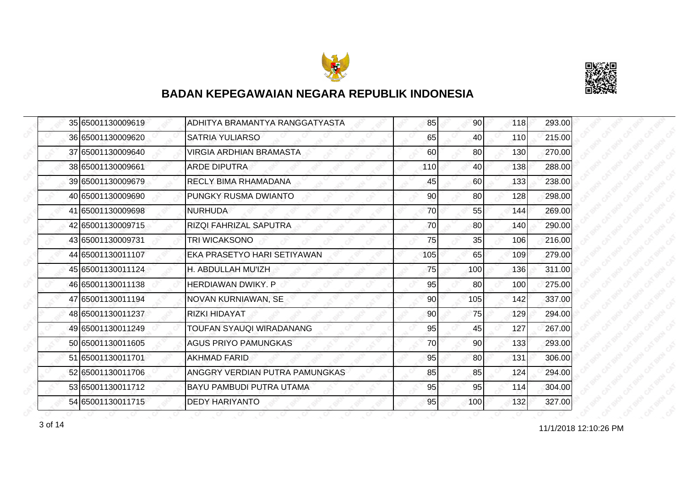



|  | 35 65001130009619 | ADHITYA BRAMANTYA RANGGATYASTA  | 85  | 90              | 118 | 293.00 |
|--|-------------------|---------------------------------|-----|-----------------|-----|--------|
|  | 36 65001130009620 | <b>SATRIA YULIARSO</b>          | 65  | 40              | 110 | 215.00 |
|  | 37 65001130009640 | <b>VIRGIA ARDHIAN BRAMASTA</b>  | 60  | 80              | 130 | 270.00 |
|  | 38 65001130009661 | <b>ARDE DIPUTRA</b>             | 110 | 40              | 138 | 288.00 |
|  | 39 65001130009679 | <b>RECLY BIMA RHAMADANA</b>     | 45  | 60              | 133 | 238.00 |
|  | 40 65001130009690 | PUNGKY RUSMA DWIANTO            | 90  | 80              | 128 | 298.00 |
|  | 41 65001130009698 | <b>NURHUDA</b>                  | 70  | 55              | 144 | 269.00 |
|  | 42 65001130009715 | <b>RIZQI FAHRIZAL SAPUTRA</b>   | 70  | 80              | 140 | 290.00 |
|  | 43 65001130009731 | <b>TRI WICAKSONO</b>            | 75  | 35              | 106 | 216.00 |
|  | 44 65001130011107 | EKA PRASETYO HARI SETIYAWAN     | 105 | 65              | 109 | 279.00 |
|  | 45 65001130011124 | H. ABDULLAH MU'IZH              | 75  | 100             | 136 | 311.00 |
|  | 46 65001130011138 | <b>HERDIAWAN DWIKY, P</b>       | 95  | 80              | 100 | 275.00 |
|  | 47 65001130011194 | NOVAN KURNIAWAN, SE             | 90  | 105             | 142 | 337.00 |
|  | 48 65001130011237 | <b>RIZKI HIDAYAT</b>            | 90  | 75              | 129 | 294.00 |
|  | 49 65001130011249 | TOUFAN SYAUQI WIRADANANG        | 95  | 45              | 127 | 267.00 |
|  | 50 65001130011605 | <b>AGUS PRIYO PAMUNGKAS</b>     | 70  | 90 <sub>0</sub> | 133 | 293.00 |
|  | 51 65001130011701 | <b>AKHMAD FARID</b>             | 95  | 80              | 131 | 306.00 |
|  | 52 65001130011706 | ANGGRY VERDIAN PUTRA PAMUNGKAS  | 85  | 85              | 124 | 294.00 |
|  | 53 65001130011712 | <b>BAYU PAMBUDI PUTRA UTAMA</b> | 95  | 95              | 114 | 304.00 |
|  | 54 65001130011715 | <b>DEDY HARIYANTO</b>           | 95  | 100             | 132 | 327.00 |

11/1/2018 12:10:26 PM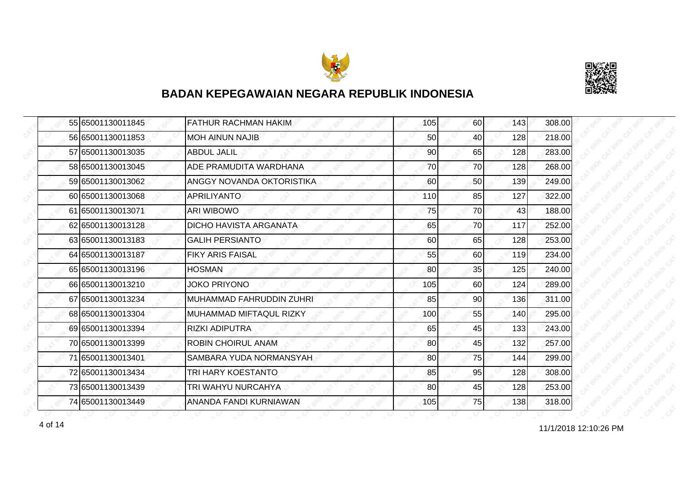



|  | 55 65001130011845 | <b>FATHUR RACHMAN HAKIM</b> | 105 | 60              | 143 | 308.00 |
|--|-------------------|-----------------------------|-----|-----------------|-----|--------|
|  | 56 65001130011853 | MOH AINUN NAJIB             | 50  | 40              | 128 | 218.00 |
|  | 57 65001130013035 | <b>ABDUL JALIL</b>          | 90  | 65              | 128 | 283.00 |
|  | 58 65001130013045 | ADE PRAMUDITA WARDHANA      | 70  | 70              | 128 | 268.00 |
|  | 59 65001130013062 | ANGGY NOVANDA OKTORISTIKA   | 60  | 50              | 139 | 249.00 |
|  | 60 65001130013068 | <b>APRILIYANTO</b>          | 110 | 85              | 127 | 322.00 |
|  | 61 65001130013071 | <b>ARI WIBOWO</b>           | 75  | 70I             | 43  | 188.00 |
|  | 62 65001130013128 | DICHO HAVISTA ARGANATA      | 65  | 70              | 117 | 252.00 |
|  | 63 65001130013183 | <b>GALIH PERSIANTO</b>      | 60  | 65              | 128 | 253.00 |
|  | 64 65001130013187 | <b>FIKY ARIS FAISAL</b>     | 55  | 60              | 119 | 234.00 |
|  | 65 65001130013196 | <b>HOSMAN</b>               | 80  | 35              | 125 | 240.00 |
|  | 66 65001130013210 | JOKO PRIYONO                | 105 | 60              | 124 | 289.00 |
|  | 67 65001130013234 | MUHAMMAD FAHRUDDIN ZUHRI    | 85  | 90 <sub>0</sub> | 136 | 311.00 |
|  | 68 65001130013304 | MUHAMMAD MIFTAQUL RIZKY     | 100 | 55              | 140 | 295.00 |
|  | 69 65001130013394 | <b>RIZKI ADIPUTRA</b>       | 65  | 45              | 133 | 243.00 |
|  | 70 65001130013399 | <b>ROBIN CHOIRUL ANAM</b>   | 80  | 45              | 132 | 257.00 |
|  | 71 65001130013401 | SAMBARA YUDA NORMANSYAH     | 80  | 75              | 144 | 299.00 |
|  | 72 65001130013434 | TRI HARY KOESTANTO          | 85  | 95              | 128 | 308.00 |
|  | 73 65001130013439 | TRI WAHYU NURCAHYA          | 80  | 45              | 128 | 253.00 |
|  | 74 65001130013449 | ANANDA FANDI KURNIAWAN      | 105 | 75              | 138 | 318.00 |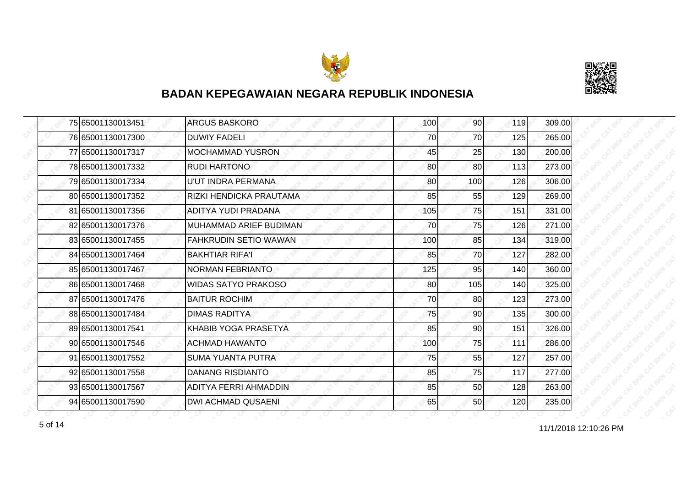



|  | 75 65001130013451 | <b>ARGUS BASKORO</b>         | 100 | 90 <sub>l</sub> | 119 | 309.00 |
|--|-------------------|------------------------------|-----|-----------------|-----|--------|
|  | 76 65001130017300 | <b>DUWIY FADELI</b>          | 70  | 70              | 125 | 265.00 |
|  | 77 65001130017317 | <b>MOCHAMMAD YUSRON</b>      | 45  | 25              | 130 | 200.00 |
|  | 78 65001130017332 | <b>RUDI HARTONO</b>          | 80  | 80              | 113 | 273.00 |
|  | 79 65001130017334 | U'UT INDRA PERMANA           | 80  | 100             | 126 | 306.00 |
|  | 80 65001130017352 | RIZKI HENDICKA PRAUTAMA      | 85  | 55              | 129 | 269.00 |
|  | 81 65001130017356 | <b>ADITYA YUDI PRADANA</b>   | 105 | 75              | 151 | 331.00 |
|  | 82 65001130017376 | MUHAMMAD ARIEF BUDIMAN       | 70  | 75              | 126 | 271.00 |
|  | 83 65001130017455 | <b>FAHKRUDIN SETIO WAWAN</b> | 100 | 85              | 134 | 319.00 |
|  | 84 65001130017464 | <b>BAKHTIAR RIFA'I</b>       | 85  | 70              | 127 | 282.00 |
|  | 85 65001130017467 | <b>NORMAN FEBRIANTO</b>      | 125 | 95              | 140 | 360.00 |
|  | 86 65001130017468 | <b>WIDAS SATYO PRAKOSO</b>   | 80  | 105             | 140 | 325.00 |
|  | 87 65001130017476 | <b>BAITUR ROCHIM</b>         | 70  | 80              | 123 | 273.00 |
|  | 88 65001130017484 | <b>DIMAS RADITYA</b>         | 75  | 90 <sub>0</sub> | 135 | 300.00 |
|  | 89 65001130017541 | KHABIB YOGA PRASETYA         | 85  | 90              | 151 | 326.00 |
|  | 90 65001130017546 | <b>ACHMAD HAWANTO</b>        | 100 | 75              | 111 | 286.00 |
|  | 91 65001130017552 | <b>SUMA YUANTA PUTRA</b>     | 75  | 55              | 127 | 257.00 |
|  | 92 65001130017558 | <b>DANANG RISDIANTO</b>      | 85  | 75              | 117 | 277.00 |
|  | 93 65001130017567 | ADITYA FERRI AHMADDIN        | 85  | 50              | 128 | 263.00 |
|  | 94 65001130017590 | <b>DWI ACHMAD QUSAENI</b>    | 65  | 50              | 120 | 235.00 |

f of 14 and 11/1/2018 12:10:26 PM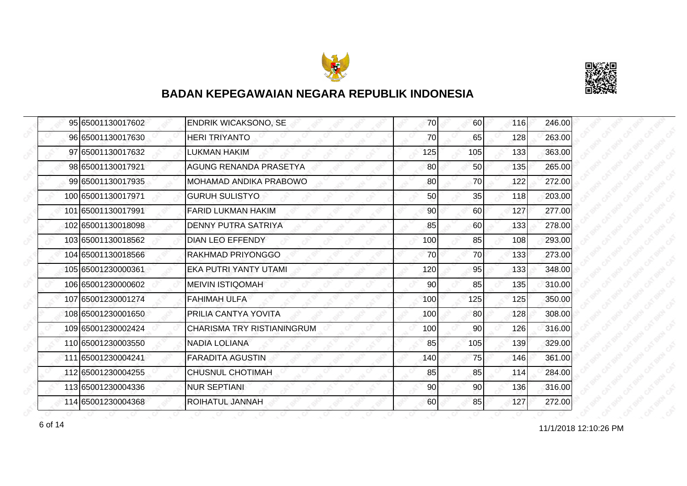



|  | 95 65001130017602  | <b>ENDRIK WICAKSONO, SE</b>       | 70  | <b>60</b> | 116 | 246.00 |
|--|--------------------|-----------------------------------|-----|-----------|-----|--------|
|  | 96 65001130017630  | <b>HERI TRIYANTO</b>              | 70  | 65        | 128 | 263.00 |
|  | 97 65001130017632  | LUKMAN HAKIM                      | 125 | 105       | 133 | 363.00 |
|  | 98 65001130017921  | <b>AGUNG RENANDA PRASETYA</b>     | 80  | 50        | 135 | 265.00 |
|  | 99 65001130017935  | MOHAMAD ANDIKA PRABOWO            | 80  | 70        | 122 | 272.00 |
|  | 100 65001130017971 | <b>GURUH SULISTYO</b>             | 50  | 35        | 118 | 203.00 |
|  | 101 65001130017991 | <b>FARID LUKMAN HAKIM</b>         | 90  | 60        | 127 | 277.00 |
|  | 102 65001130018098 | DENNY PUTRA SATRIYA               | 85  | 60        | 133 | 278.00 |
|  | 103 65001130018562 | <b>DIAN LEO EFFENDY</b>           | 100 | 85        | 108 | 293.00 |
|  | 104 65001130018566 | RAKHMAD PRIYONGGO                 | 70  | 70        | 133 | 273.00 |
|  | 105 65001230000361 | EKA PUTRI YANTY UTAMI             | 120 | 95        | 133 | 348.00 |
|  | 106 65001230000602 | <b>MEIVIN ISTIQOMAH</b>           | 90  | 85        | 135 | 310.00 |
|  | 107 65001230001274 | <b>FAHIMAH ULFA</b>               | 100 | 125       | 125 | 350.00 |
|  | 108 65001230001650 | PRILIA CANTYA YOVITA              | 100 | 80        | 128 | 308.00 |
|  | 109 65001230002424 | <b>CHARISMA TRY RISTIANINGRUM</b> | 100 | 90        | 126 | 316.00 |
|  | 110 65001230003550 | <b>NADIA LOLIANA</b>              | 85  | 105       | 139 | 329.00 |
|  | 111 65001230004241 | <b>FARADITA AGUSTIN</b>           | 140 | 75        | 146 | 361.00 |
|  | 112 65001230004255 | <b>CHUSNUL CHOTIMAH</b>           | 85  | 85        | 114 | 284.00 |
|  | 113 65001230004336 | <b>NUR SEPTIANI</b>               | 90  | 90        | 136 | 316.00 |
|  | 114 65001230004368 | <b>ROIHATUL JANNAH</b>            | 60  | 85        | 127 | 272.00 |

11/1/2018 12:10:26 PM 6 of 14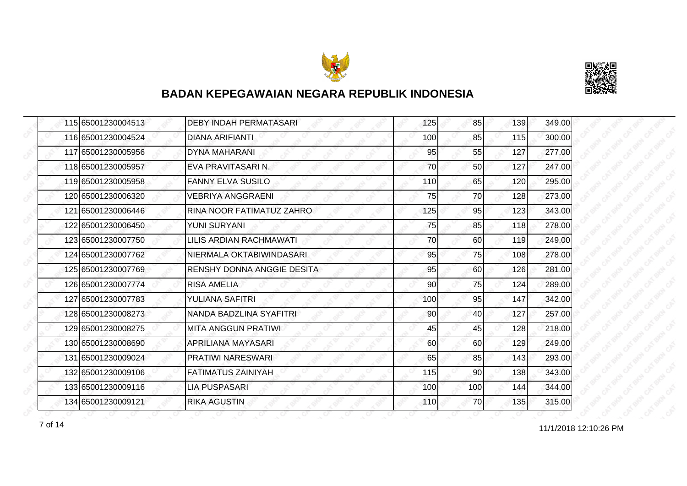



| 115 65001230004513 | <b>DEBY INDAH PERMATASARI</b> | 125 | 85              | 139 | 349.00 |
|--------------------|-------------------------------|-----|-----------------|-----|--------|
| 116 65001230004524 | DIANA ARIFIANTI               | 100 | 85              | 115 | 300.00 |
| 117 65001230005956 | DYNA MAHARANI                 | 95  | 55              | 127 | 277.00 |
| 118 65001230005957 | EVA PRAVITASARI N.            | 70  | 50 <sub>l</sub> | 127 | 247.00 |
| 119 65001230005958 | <b>FANNY ELVA SUSILO</b>      | 110 | 65              | 120 | 295.00 |
| 120 65001230006320 | <b>VEBRIYA ANGGRAENI</b>      | 75  | 70              | 128 | 273.00 |
| 121 65001230006446 | RINA NOOR FATIMATUZ ZAHRO     | 125 | 95              | 123 | 343.00 |
| 122 65001230006450 | YUNI SURYANI                  | 75  | 85              | 118 | 278.00 |
| 123 65001230007750 | LILIS ARDIAN RACHMAWATI       | 70  | 60              | 119 | 249.00 |
| 124 65001230007762 | NIERMALA OKTABIWINDASARI      | 95  | 75              | 108 | 278.00 |
| 125 65001230007769 | RENSHY DONNA ANGGIE DESITA    | 95  | 60              | 126 | 281.00 |
| 126 65001230007774 | <b>RISA AMELIA</b>            | 90  | 75              | 124 | 289.00 |
| 127 65001230007783 | YULIANA SAFITRI               | 100 | 95              | 147 | 342.00 |
| 128 65001230008273 | NANDA BADZLINA SYAFITRI       | 90  | 40              | 127 | 257.00 |
| 129 65001230008275 | <b>MITA ANGGUN PRATIWI</b>    | 45  | 45              | 128 | 218.00 |
| 130 65001230008690 | <b>APRILIANA MAYASARI</b>     | 60  | 60              | 129 | 249.00 |
| 131 65001230009024 | PRATIWI NARESWARI             | 65  | 85              | 143 | 293.00 |
| 132 65001230009106 | <b>FATIMATUS ZAINIYAH</b>     | 115 | 90              | 138 | 343.00 |
| 133 65001230009116 | <b>LIA PUSPASARI</b>          | 100 | 100             | 144 | 344.00 |
| 134 65001230009121 | <b>RIKA AGUSTIN</b>           | 110 | 70I             | 135 | 315.00 |

11/1/2018 12:10:26 PM 7 of 14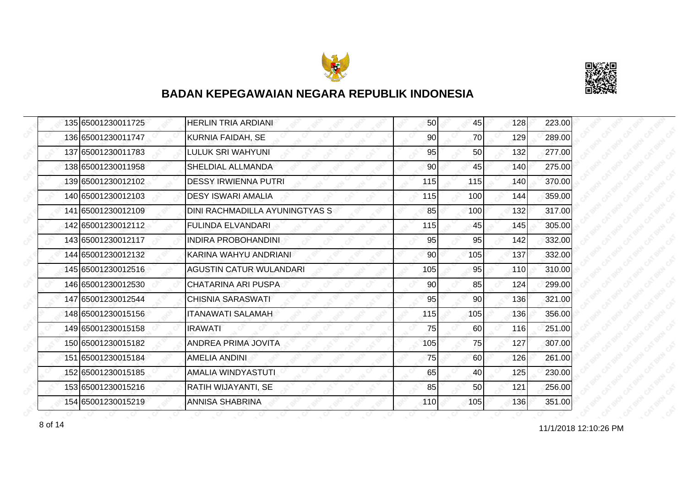



|  | 135 65001230011725 | <b>HERLIN TRIA ARDIANI</b>     | 50  | 45  | 128 | 223.00 |
|--|--------------------|--------------------------------|-----|-----|-----|--------|
|  | 136 65001230011747 | <b>KURNIA FAIDAH, SE</b>       | 90  | 70  | 129 | 289.00 |
|  | 137 65001230011783 | LULUK SRI WAHYUNI              | 95  | 50  | 132 | 277.00 |
|  | 138 65001230011958 | SHELDIAL ALLMANDA              | 90  | 45  | 140 | 275.00 |
|  | 139 65001230012102 | <b>DESSY IRWIENNA PUTRI</b>    | 115 | 115 | 140 | 370.00 |
|  | 140 65001230012103 | <b>DESY ISWARI AMALIA</b>      | 115 | 100 | 144 | 359.00 |
|  | 141 65001230012109 | DINI RACHMADILLA AYUNINGTYAS S | 85  | 100 | 132 | 317.00 |
|  | 142 65001230012112 | <b>FULINDA ELVANDARI</b>       | 115 | 45  | 145 | 305.00 |
|  | 143 65001230012117 | <b>INDIRA PROBOHANDINI</b>     | 95  | 95  | 142 | 332.00 |
|  | 144 65001230012132 | KARINA WAHYU ANDRIANI          | 90  | 105 | 137 | 332.00 |
|  | 145 65001230012516 | <b>AGUSTIN CATUR WULANDARI</b> | 105 | 95  | 110 | 310.00 |
|  | 146 65001230012530 | CHATARINA ARI PUSPA            | 90  | 85  | 124 | 299.00 |
|  | 147 65001230012544 | <b>CHISNIA SARASWATI</b>       | 95  | 90  | 136 | 321.00 |
|  | 148 65001230015156 | <b>ITANAWATI SALAMAH</b>       | 115 | 105 | 136 | 356.00 |
|  | 149 65001230015158 | <b>IRAWATI</b>                 | 75  | 60  | 116 | 251.00 |
|  | 150 65001230015182 | <b>ANDREA PRIMA JOVITA</b>     | 105 | 75  | 127 | 307.00 |
|  | 151 65001230015184 | AMELIA ANDINI                  | 75  | 60  | 126 | 261.00 |
|  | 152 65001230015185 | AMALIA WINDYASTUTI             | 65  | 40  | 125 | 230.00 |
|  | 153 65001230015216 | RATIH WIJAYANTI, SE            | 85  | 50  | 121 | 256.00 |
|  | 154 65001230015219 | <b>ANNISA SHABRINA</b>         | 110 | 105 | 136 | 351.00 |

11/1/2018 12:10:26 PM 8 of 14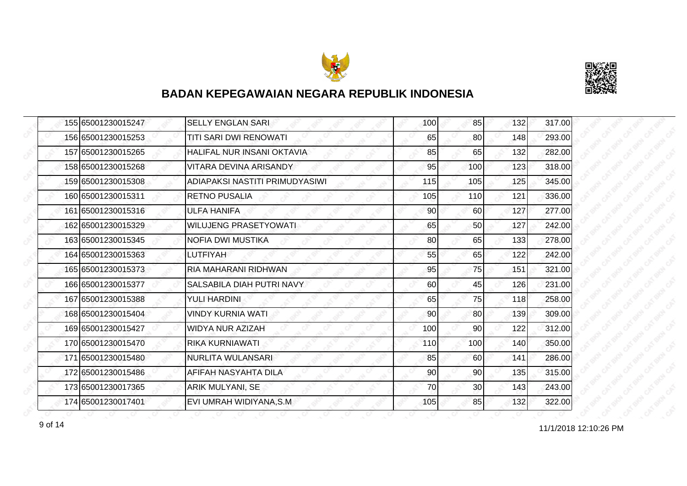



|  | 155 65001230015247 | <b>SELLY ENGLAN SARI</b>          | 100 | 85              | 132 | 317.00 |
|--|--------------------|-----------------------------------|-----|-----------------|-----|--------|
|  | 156 65001230015253 | TITI SARI DWI RENOWATI            | 65  | 80              | 148 | 293.00 |
|  | 157 65001230015265 | <b>HALIFAL NUR INSANI OKTAVIA</b> | 85  | 65              | 132 | 282.00 |
|  | 158 65001230015268 | VITARA DEVINA ARISANDY            | 95  | 100             | 123 | 318.00 |
|  | 159 65001230015308 | ADIAPAKSI NASTITI PRIMUDYASIWI    | 115 | 105             | 125 | 345.00 |
|  | 160 65001230015311 | RETNO PUSALIA                     | 105 | 110             | 121 | 336.00 |
|  | 161 65001230015316 | <b>ULFA HANIFA</b>                | 90  | 60 <sup>1</sup> | 127 | 277.00 |
|  | 162 65001230015329 | WILUJENG PRASETYOWATI             | 65  | 50              | 127 | 242.00 |
|  | 163 65001230015345 | NOFIA DWI MUSTIKA                 | 80  | 65              | 133 | 278.00 |
|  | 164 65001230015363 | LUTFIYAH                          | 55  | 65              | 122 | 242.00 |
|  | 165 65001230015373 | RIA MAHARANI RIDHWAN              | 95  | 75              | 151 | 321.00 |
|  | 166 65001230015377 | SALSABILA DIAH PUTRI NAVY         | 60  | 45              | 126 | 231.00 |
|  | 167 65001230015388 | <b>YULI HARDINI</b>               | 65  | 75              | 118 | 258.00 |
|  | 168 65001230015404 | <b>VINDY KURNIA WATI</b>          | 90  | 80              | 139 | 309.00 |
|  | 169 65001230015427 | <b>WIDYA NUR AZIZAH</b>           | 100 | 90              | 122 | 312.00 |
|  | 170 65001230015470 | RIKA KURNIAWATI                   | 110 | 100             | 140 | 350.00 |
|  | 171 65001230015480 | NURLITA WULANSARI                 | 85  | 60              | 141 | 286.00 |
|  | 172165001230015486 | AFIFAH NASYAHTA DILA              | 90  | 90              | 135 | 315.00 |
|  | 173 65001230017365 | <b>ARIK MULYANI, SE</b>           | 70  | 30 <sup>1</sup> | 143 | 243.00 |
|  | 174 65001230017401 | EVI UMRAH WIDIYANA, S.M.          | 105 | 85              | 132 | 322.00 |

11/1/2018 12:10:26 PM 9 of 14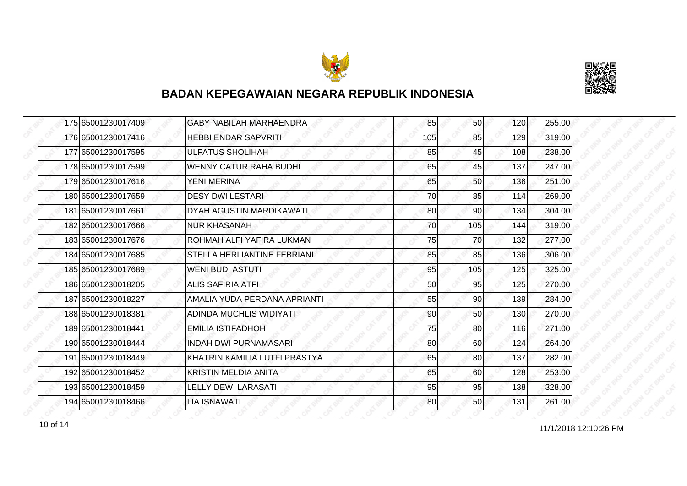



|  | 175 65001230017409 | <b>GABY NABILAH MARHAENDRA</b> | 85  | 50              | 120 | 255.00 |
|--|--------------------|--------------------------------|-----|-----------------|-----|--------|
|  | 176 65001230017416 | <b>HEBBI ENDAR SAPVRITI</b>    | 105 | 85              | 129 | 319.00 |
|  | 177165001230017595 | <b>ULFATUS SHOLIHAH</b>        | 85  | 45              | 108 | 238.00 |
|  | 178 65001230017599 | <b>WENNY CATUR RAHA BUDHI</b>  | 65  | 45              | 137 | 247.00 |
|  | 179 65001230017616 | YENI MERINA                    | 65  | 50              | 136 | 251.00 |
|  | 180 65001230017659 | <b>DESY DWI LESTARI</b>        | 70  | 85              | 114 | 269.00 |
|  | 181 65001230017661 | DYAH AGUSTIN MARDIKAWATI       | 80  | 90 <sub>l</sub> | 134 | 304.00 |
|  | 182 65001230017666 | <b>NUR KHASANAH</b>            | 70  | 105             | 144 | 319.00 |
|  | 183 65001230017676 | ROHMAH ALFI YAFIRA LUKMAN      | 75  | 70              | 132 | 277.00 |
|  | 184 65001230017685 | STELLA HERLIANTINE FEBRIANI    | 85  | 85              | 136 | 306.00 |
|  | 185 65001230017689 | <b>WENI BUDI ASTUTI</b>        | 95  | 105             | 125 | 325.00 |
|  | 186 65001230018205 | <b>ALIS SAFIRIA ATFI</b>       | 50  | 95              | 125 | 270.00 |
|  | 187 65001230018227 | AMALIA YUDA PERDANA APRIANTI   | 55  | 90 <sub>0</sub> | 139 | 284.00 |
|  | 188 65001230018381 | ADINDA MUCHLIS WIDIYATI        | 90  | 50 <sup>1</sup> | 130 | 270.00 |
|  | 189 65001230018441 | <b>EMILIA ISTIFADHOH</b>       | 75  | 80              | 116 | 271.00 |
|  | 190 65001230018444 | <b>INDAH DWI PURNAMASARI</b>   | 80  | 60              | 124 | 264.00 |
|  | 191 65001230018449 | KHATRIN KAMILIA LUTFI PRASTYA  | 65  | 80              | 137 | 282.00 |
|  | 192 65001230018452 | KRISTIN MELDIA ANITA           | 65  | 60              | 128 | 253.00 |
|  | 193 65001230018459 | <b>LELLY DEWI LARASATI</b>     | 95  | 95              | 138 | 328.00 |
|  | 194 65001230018466 | <b>LIA ISNAWATI</b>            | 80  | <b>50</b>       | 131 | 261.00 |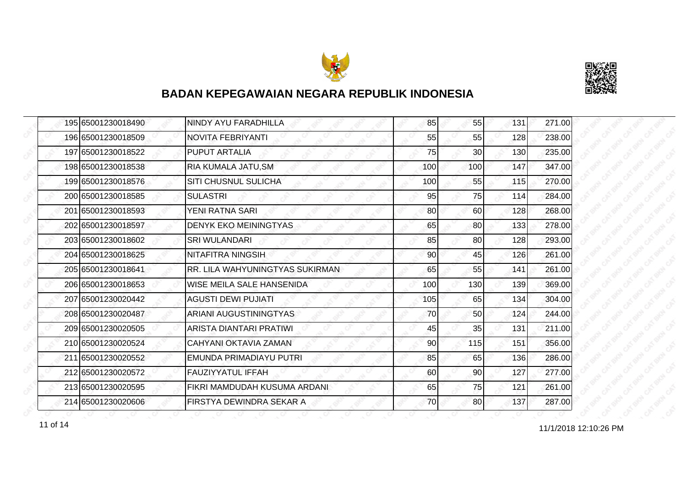



|  | 195 65001230018490 | NINDY AYU FARADHILLA                   | 85  | 55  | 131 | 271.00 |
|--|--------------------|----------------------------------------|-----|-----|-----|--------|
|  | 196 65001230018509 | NOVITA FEBRIYANTI                      | 55  | 55  | 128 | 238.00 |
|  | 197 65001230018522 | <b>PUPUT ARTALIA</b>                   | 75  | 30  | 130 | 235.00 |
|  | 198 65001230018538 | RIA KUMALA JATU, SM                    | 100 | 100 | 147 | 347.00 |
|  | 199 65001230018576 | <b>SITI CHUSNUL SULICHA</b>            | 100 | 55  | 115 | 270.00 |
|  | 200165001230018585 | <b>SULASTRI</b>                        | 95  | 75  | 114 | 284.00 |
|  | 201 65001230018593 | YENI RATNA SARI                        | 80  | 60  | 128 | 268.00 |
|  | 202 65001230018597 | <b>DENYK EKO MEININGTYAS</b>           | 65  | 80  | 133 | 278.00 |
|  | 203165001230018602 | <b>SRI WULANDARI</b>                   | 85  | 80  | 128 | 293.00 |
|  | 204 65001230018625 | <b>NITAFITRA NINGSIH</b>               | 90  | 45  | 126 | 261.00 |
|  | 205 65001230018641 | <b>RR. LILA WAHYUNINGTYAS SUKIRMAN</b> | 65  | 55  | 141 | 261.00 |
|  | 206165001230018653 | WISE MEILA SALE HANSENIDA              | 100 | 130 | 139 | 369.00 |
|  | 207 65001230020442 | <b>AGUSTI DEWI PUJIATI</b>             | 105 | 65  | 134 | 304.00 |
|  | 208 65001230020487 | ARIANI AUGUSTININGTYAS                 | 70  | 50  | 124 | 244.00 |
|  | 209 65001230020505 | ARISTA DIANTARI PRATIWI                | 45  | 35  | 131 | 211.00 |
|  | 210 65001230020524 | CAHYANI OKTAVIA ZAMAN                  | 90  | 115 | 151 | 356.00 |
|  | 211 65001230020552 | EMUNDA PRIMADIAYU PUTRI                | 85  | 65  | 136 | 286.00 |
|  | 212 65001230020572 | <b>FAUZIYYATUL IFFAH</b>               | 60  | 90  | 127 | 277.00 |
|  | 213 65001230020595 | FIKRI MAMDUDAH KUSUMA ARDANI           | 65  | 75  | 121 | 261.00 |
|  | 214 65001230020606 | FIRSTYA DEWINDRA SEKAR A               | 70  | 80  | 137 | 287.00 |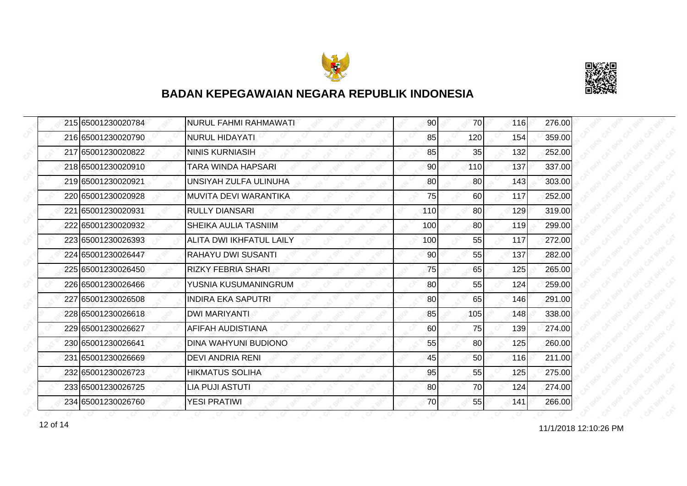



| 215 65001230020784 | NURUL FAHMI RAHMAWATI        | 90  | <b>70</b>       | 116 | 276.00 |
|--------------------|------------------------------|-----|-----------------|-----|--------|
| 216 65001230020790 | <b>NURUL HIDAYATI</b>        | 85  | 120             | 154 | 359.00 |
| 217 65001230020822 | <b>NINIS KURNIASIH</b>       | 85  | 35              | 132 | 252.00 |
| 218 65001230020910 | TARA WINDA HAPSARI           | 90  | <b>110</b>      | 137 | 337.00 |
| 219 65001230020921 | UNSIYAH ZULFA ULINUHA        | 80  | 80              | 143 | 303.00 |
| 220165001230020928 | <b>MUVITA DEVI WARANTIKA</b> | 75  | 60              | 117 | 252.00 |
| 221 65001230020931 | <b>RULLY DIANSARI</b>        | 110 | 80 <sup>1</sup> | 129 | 319.00 |
| 222 65001230020932 | SHEIKA AULIA TASNIIM         | 100 | 80              | 119 | 299.00 |
| 223 65001230026393 | ALITA DWI IKHFATUL LAILY     | 100 | 55              | 117 | 272.00 |
| 224 65001230026447 | RAHAYU DWI SUSANTI           | 90  | 55              | 137 | 282.00 |
| 225 65001230026450 | <b>RIZKY FEBRIA SHARI</b>    | 75  | 65              | 125 | 265.00 |
| 226 65001230026466 | YUSNIA KUSUMANINGRUM         | 80  | 55              | 124 | 259.00 |
| 227 65001230026508 | <b>INDIRA EKA SAPUTRI</b>    | 80  | 65              | 146 | 291.00 |
| 228 65001230026618 | DWI MARIYANTI                | 85  | 105             | 148 | 338.00 |
| 229 65001230026627 | AFIFAH AUDISTIANA            | 60  | 75              | 139 | 274.00 |
| 230 65001230026641 | DINA WAHYUNI BUDIONO         | 55  | 80 <sup>1</sup> | 125 | 260.00 |
| 231 65001230026669 | <b>DEVI ANDRIA RENI</b>      | 45  | 50              | 116 | 211.00 |
| 232165001230026723 | HIKMATUS SOLIHA              | 95  | 55              | 125 | 275.00 |
| 233 65001230026725 | LIA PUJI ASTUTI              | 80  | 70              | 124 | 274.00 |
| 234 65001230026760 | <b>YESI PRATIWI</b>          | 70  | 55              | 141 | 266.00 |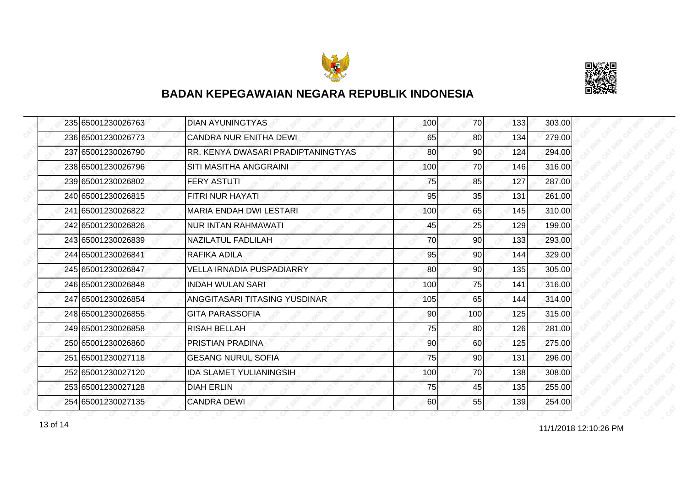



|  | 235 65001230026763 | <b>DIAN AYUNINGTYAS</b>            | 100 | 70              | 133        | 303.00           |
|--|--------------------|------------------------------------|-----|-----------------|------------|------------------|
|  | 236 65001230026773 | <b>CANDRA NUR ENITHA DEWI</b>      | 65  | 80              | 134        | 279.00           |
|  | 237 65001230026790 | RR. KENYA DWASARI PRADIPTANINGTYAS | 80  | 90              | 124        | 294.00           |
|  | 238 65001230026796 | SITI MASITHA ANGGRAINI             | 100 | 70              | 146        | 316.00           |
|  | 239 65001230026802 | <b>FERY ASTUTI</b>                 | 75  | 85              | 127        | 287.00           |
|  | 240 65001230026815 | FITRI NUR HAYATI.                  | 95  | 35              | 131        | 261.00           |
|  | 241 65001230026822 | MARIA ENDAH DWI LESTARI            | 100 | 65              | 145        | 310.00           |
|  | 242 65001230026826 | NUR INTAN RAHMAWATI                | 45  | 25              | 129        | 199.00           |
|  | 243165001230026839 | NAZILATUL FADLILAH                 | 70  | 90              | 133        | 293.00           |
|  | 244 65001230026841 | RAFIKA ADILA                       | 95  | 90              | 144        | 329.00           |
|  | 245 65001230026847 | <b>VELLA IRNADIA PUSPADIARRY</b>   | 80  | 90 <sub>0</sub> | 135        | 305.00           |
|  | 246 65001230026848 | <b>INDAH WULAN SARI</b>            | 100 | 75              | 141        | 316.00           |
|  | 247 65001230026854 | ANGGITASARI TITASING YUSDINAR      | 105 | 65              | 144        | 314.00           |
|  | 248 65001230026855 | <b>GITA PARASSOFIA</b>             | 90  | 100             | 125        | 315.00           |
|  | 249 65001230026858 | <b>RISAH BELLAH</b>                | 75  | 80              | 126<br>125 | 281.00<br>275.00 |
|  | 250 65001230026860 | PRISTIAN PRADINA                   | 90  | 60              |            |                  |
|  | 251 65001230027118 | <b>GESANG NURUL SOFIA</b>          | 75  | 90              | 131        | 296.00           |
|  | 252165001230027120 | <b>IDA SLAMET YULIANINGSIH</b>     | 100 | 70              | 138        | 308.00           |
|  | 253 65001230027128 | <b>DIAH ERLIN</b>                  | 75  | 45              | 135        | 255.00           |
|  | 254 65001230027135 | <b>CANDRA DEWI</b>                 | 60  | 55              | 139        | 254.00           |